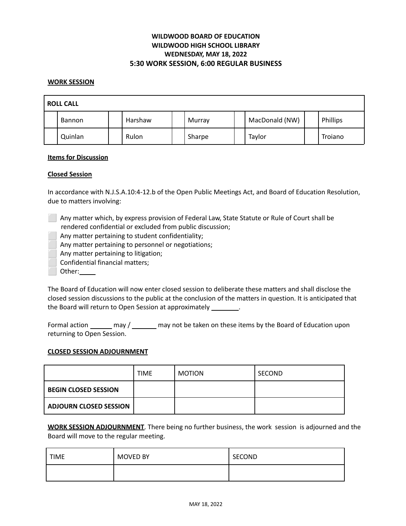# **WILDWOOD BOARD OF EDUCATION WILDWOOD HIGH SCHOOL LIBRARY WEDNESDAY, MAY 18, 2022 5:30 WORK SESSION, 6:00 REGULAR BUSINESS**

#### **WORK SESSION**

| <b>ROLL CALL</b> |               |  |         |  |        |  |                |          |
|------------------|---------------|--|---------|--|--------|--|----------------|----------|
|                  | <b>Bannon</b> |  | Harshaw |  | Murray |  | MacDonald (NW) | Phillips |
|                  | Quinlan       |  | Rulon   |  | Sharpe |  | Taylor         | Trojano  |

#### **Items for Discussion**

#### **Closed Session**

In accordance with N.J.S.A.10:4-12.b of the Open Public Meetings Act, and Board of Education Resolution, due to matters involving:

- ⬜ Any matter which, by express provision of Federal Law, State Statute or Rule of Court shall be rendered confidential or excluded from public discussion;
	- Any matter pertaining to student confidentiality;
	- Any matter pertaining to personnel or negotiations;
	- Any matter pertaining to litigation;
	- ⬜ Confidential financial matters;
	- Other:

The Board of Education will now enter closed session to deliberate these matters and shall disclose the closed session discussions to the public at the conclusion of the matters in question. It is anticipated that the Board will return to Open Session at approximately \_\_\_\_\_\_\_\_.

Formal action \_\_\_\_\_\_ may / \_\_\_\_\_\_ may not be taken on these items by the Board of Education upon returning to Open Session.

#### **CLOSED SESSION ADJOURNMENT**

|                               | <b>TIME</b> | <b>MOTION</b> | SECOND |
|-------------------------------|-------------|---------------|--------|
| <b>BEGIN CLOSED SESSION</b>   |             |               |        |
| <b>ADJOURN CLOSED SESSION</b> |             |               |        |

**WORK SESSION ADJOURNMENT**. There being no further business, the work session is adjourned and the Board will move to the regular meeting.

| <b>TIME</b> | <b>MOVED BY</b> | SECOND |
|-------------|-----------------|--------|
|             |                 |        |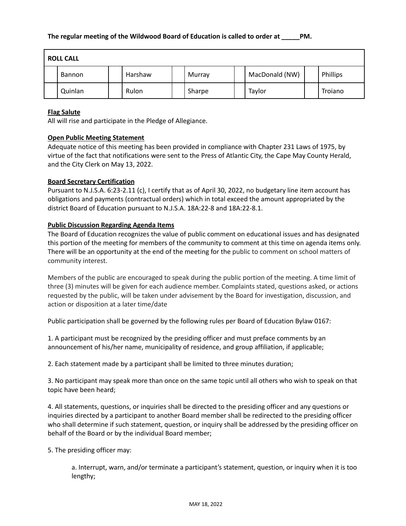| <b>ROLL CALL</b> |               |  |         |  |        |  |                |          |
|------------------|---------------|--|---------|--|--------|--|----------------|----------|
|                  | <b>Bannon</b> |  | Harshaw |  | Murray |  | MacDonald (NW) | Phillips |
|                  | Quinlan       |  | Rulon   |  | Sharpe |  | Taylor         | Trojano  |

#### **Flag Salute**

All will rise and participate in the Pledge of Allegiance.

#### **Open Public Meeting Statement**

Adequate notice of this meeting has been provided in compliance with Chapter 231 Laws of 1975, by virtue of the fact that notifications were sent to the Press of Atlantic City, the Cape May County Herald, and the City Clerk on May 13, 2022.

#### **Board Secretary Certification**

Pursuant to N.J.S.A. 6:23-2.11 (c), I certify that as of April 30, 2022, no budgetary line item account has obligations and payments (contractual orders) which in total exceed the amount appropriated by the district Board of Education pursuant to N.J.S.A. 18A:22-8 and 18A:22-8.1.

#### **Public Discussion Regarding Agenda Items**

The Board of Education recognizes the value of public comment on educational issues and has designated this portion of the meeting for members of the community to comment at this time on agenda items only. There will be an opportunity at the end of the meeting for the public to comment on school matters of community interest.

Members of the public are encouraged to speak during the public portion of the meeting. A time limit of three (3) minutes will be given for each audience member. Complaints stated, questions asked, or actions requested by the public, will be taken under advisement by the Board for investigation, discussion, and action or disposition at a later time/date

Public participation shall be governed by the following rules per Board of Education Bylaw 0167:

1. A participant must be recognized by the presiding officer and must preface comments by an announcement of his/her name, municipality of residence, and group affiliation, if applicable;

2. Each statement made by a participant shall be limited to three minutes duration;

3. No participant may speak more than once on the same topic until all others who wish to speak on that topic have been heard;

4. All statements, questions, or inquiries shall be directed to the presiding officer and any questions or inquiries directed by a participant to another Board member shall be redirected to the presiding officer who shall determine if such statement, question, or inquiry shall be addressed by the presiding officer on behalf of the Board or by the individual Board member;

5. The presiding officer may:

a. Interrupt, warn, and/or terminate a participant's statement, question, or inquiry when it is too lengthy;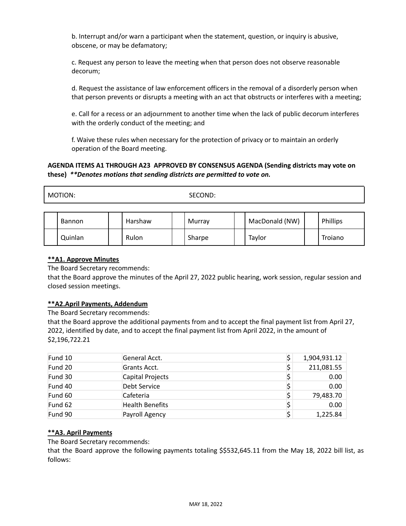b. Interrupt and/or warn a participant when the statement, question, or inquiry is abusive, obscene, or may be defamatory;

c. Request any person to leave the meeting when that person does not observe reasonable decorum;

d. Request the assistance of law enforcement officers in the removal of a disorderly person when that person prevents or disrupts a meeting with an act that obstructs or interferes with a meeting;

e. Call for a recess or an adjournment to another time when the lack of public decorum interferes with the orderly conduct of the meeting; and

f. Waive these rules when necessary for the protection of privacy or to maintain an orderly operation of the Board meeting.

# **AGENDA ITEMS A1 THROUGH A23 APPROVED BY CONSENSUS AGENDA (Sending districts may vote on these)** *\*\*Denotes motions that sending districts are permitted to vote on.*

MOTION: SECOND:

| <b>Bannon</b> | Harshaw | Murray | MacDonald (NW) | Phillips |
|---------------|---------|--------|----------------|----------|
| Quinlan       | Rulon   | Sharpe | Taylor         | Troiano  |

# **\*\*A1. Approve Minutes**

The Board Secretary recommends:

that the Board approve the minutes of the April 27, 2022 public hearing, work session, regular session and closed session meetings.

#### **\*\*A2.April Payments, Addendum**

The Board Secretary recommends:

that the Board approve the additional payments from and to accept the final payment list from April 27, 2022, identified by date, and to accept the final payment list from April 2022, in the amount of \$2,196,722.21

| Fund 10 | General Acct.          | 1,904,931.12    |
|---------|------------------------|-----------------|
| Fund 20 | Grants Acct.           | 211,081.55      |
| Fund 30 | Capital Projects       | 0.00            |
| Fund 40 | Debt Service           | 0.00            |
| Fund 60 | Cafeteria              | \$<br>79,483.70 |
| Fund 62 | <b>Health Benefits</b> | \$<br>0.00      |
| Fund 90 | Payroll Agency         | 1,225.84        |

# **\*\*A3. April Payments**

The Board Secretary recommends:

that the Board approve the following payments totaling \$\$532,645.11 from the May 18, 2022 bill list, as follows: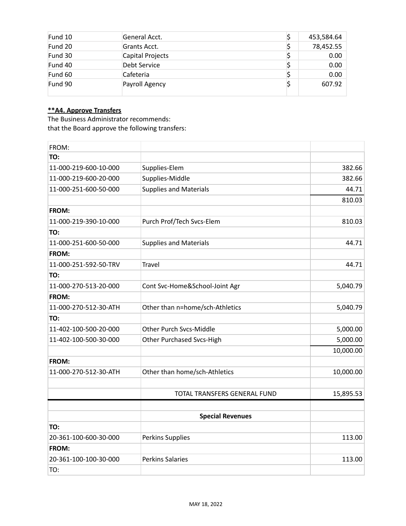| Fund 10 | General Acct.    | 453,584.64 |
|---------|------------------|------------|
| Fund 20 | Grants Acct.     | 78,452.55  |
| Fund 30 | Capital Projects | 0.00       |
| Fund 40 | Debt Service     | 0.00       |
| Fund 60 | Cafeteria        | 0.00       |
| Fund 90 | Payroll Agency   | 607.92     |

# **\*\*A4. Approve Transfers**

The Business Administrator recommends: that the Board approve the following transfers:

| FROM:                 |                                     |           |
|-----------------------|-------------------------------------|-----------|
| TO:                   |                                     |           |
| 11-000-219-600-10-000 | Supplies-Elem                       | 382.66    |
| 11-000-219-600-20-000 | Supplies-Middle                     | 382.66    |
| 11-000-251-600-50-000 | <b>Supplies and Materials</b>       | 44.71     |
|                       |                                     | 810.03    |
| FROM:                 |                                     |           |
| 11-000-219-390-10-000 | Purch Prof/Tech Svcs-Elem           | 810.03    |
| TO:                   |                                     |           |
| 11-000-251-600-50-000 | <b>Supplies and Materials</b>       | 44.71     |
| FROM:                 |                                     |           |
| 11-000-251-592-50-TRV | <b>Travel</b>                       | 44.71     |
| TO:                   |                                     |           |
| 11-000-270-513-20-000 | Cont Svc-Home&School-Joint Agr      | 5,040.79  |
| FROM:                 |                                     |           |
| 11-000-270-512-30-ATH | Other than n=home/sch-Athletics     | 5,040.79  |
| TO:                   |                                     |           |
| 11-402-100-500-20-000 | <b>Other Purch Svcs-Middle</b>      | 5,000.00  |
| 11-402-100-500-30-000 | <b>Other Purchased Svcs-High</b>    | 5,000.00  |
|                       |                                     | 10,000.00 |
| FROM:                 |                                     |           |
| 11-000-270-512-30-ATH | Other than home/sch-Athletics       | 10,000.00 |
|                       | <b>TOTAL TRANSFERS GENERAL FUND</b> | 15,895.53 |
|                       |                                     |           |
|                       | <b>Special Revenues</b>             |           |
| TO:                   |                                     |           |
| 20-361-100-600-30-000 | <b>Perkins Supplies</b>             | 113.00    |
| FROM:                 |                                     |           |
| 20-361-100-100-30-000 | <b>Perkins Salaries</b>             | 113.00    |
| TO:                   |                                     |           |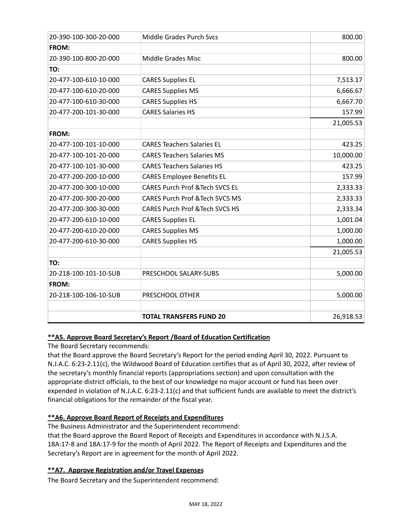| 20-390-100-300-20-000 | Middle Grades Purch Svcs                   | 800.00    |
|-----------------------|--------------------------------------------|-----------|
| <b>FROM:</b>          |                                            |           |
| 20-390-100-800-20-000 | <b>Middle Grades Misc</b>                  | 800.00    |
| TO:                   |                                            |           |
| 20-477-100-610-10-000 | <b>CARES Supplies EL</b>                   | 7,513.17  |
| 20-477-100-610-20-000 | <b>CARES Supplies MS</b>                   | 6,666.67  |
| 20-477-100-610-30-000 | <b>CARES Supplies HS</b>                   | 6,667.70  |
| 20-477-200-101-30-000 | <b>CARES Salaries HS</b>                   | 157.99    |
|                       |                                            | 21,005.53 |
| <b>FROM:</b>          |                                            |           |
| 20-477-100-101-10-000 | <b>CARES Teachers Salaries EL</b>          | 423.25    |
| 20-477-100-101-20-000 | <b>CARES Teachers Salaries MS</b>          | 10,000.00 |
| 20-477-100-101-30-000 | <b>CARES Teachers Salaries HS</b>          | 423.25    |
| 20-477-200-200-10-000 | <b>CARES Employee Benefits EL</b>          | 157.99    |
| 20-477-200-300-10-000 | <b>CARES Purch Prof &amp; Tech SVCS EL</b> | 2,333.33  |
| 20-477-200-300-20-000 | <b>CARES Purch Prof &amp;Tech SVCS MS</b>  | 2,333.33  |
| 20-477-200-300-30-000 | <b>CARES Purch Prof &amp; Tech SVCS HS</b> | 2,333.34  |
| 20-477-200-610-10-000 | <b>CARES Supplies EL</b>                   | 1,001.04  |
| 20-477-200-610-20-000 | <b>CARES Supplies MS</b>                   | 1,000.00  |
| 20-477-200-610-30-000 | <b>CARES Supplies HS</b>                   | 1,000.00  |
|                       |                                            | 21,005.53 |
| TO:                   |                                            |           |
| 20-218-100-101-10-SUB | PRESCHOOL SALARY-SUBS                      | 5,000.00  |
| <b>FROM:</b>          |                                            |           |
| 20-218-100-106-10-SUB | PRESCHOOL OTHER                            | 5,000.00  |
|                       |                                            |           |
|                       | <b>TOTAL TRANSFERS FUND 20</b>             | 26,918.53 |

# **\*\*A5. Approve Board Secretary's Report /Board of Education Certification**

The Board Secretary recommends:

that the Board approve the Board Secretary's Report for the period ending April 30, 2022. Pursuant to N.J.A.C. 6:23-2.11(c), the Wildwood Board of Education certifies that as of April 30, 2022, after review of the secretary's monthly financial reports (appropriations section) and upon consultation with the appropriate district officials, to the best of our knowledge no major account or fund has been over expended in violation of N.J.A.C. 6:23-2.11(c) and that sufficient funds are available to meet the district's financial obligations for the remainder of the fiscal year.

# **\*\*A6. Approve Board Report of Receipts and Expenditures**

The Business Administrator and the Superintendent recommend:

that the Board approve the Board Report of Receipts and Expenditures in accordance with N.J.S.A. 18A:17-8 and 18A:17-9 for the month of April 2022. The Report of Receipts and Expenditures and the Secretary's Report are in agreement for the month of April 2022.

# **\*\*A7. Approve Registration and/or Travel Expenses**

The Board Secretary and the Superintendent recommend: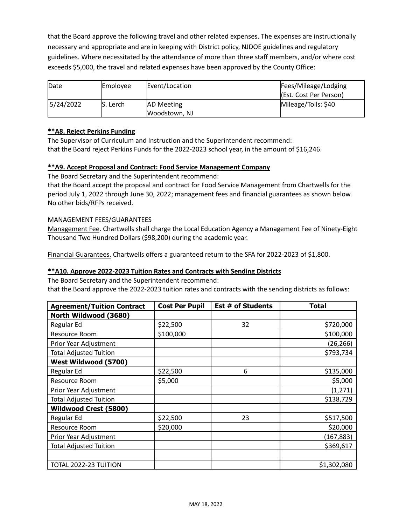that the Board approve the following travel and other related expenses. The expenses are instructionally necessary and appropriate and are in keeping with District policy, NJDOE guidelines and regulatory guidelines. Where necessitated by the attendance of more than three staff members, and/or where cost exceeds \$5,000, the travel and related expenses have been approved by the County Office:

| Date<br>Employee |           | Event/Location     | Fees/Mileage/Lodging   |
|------------------|-----------|--------------------|------------------------|
|                  |           |                    | (Est. Cost Per Person) |
| 5/24/2022        | lS. Lerch | <b>JAD Meeting</b> | Mileage/Tolls: \$40    |
|                  |           | Woodstown, NJ      |                        |

# **\*\*A8. Reject Perkins Funding**

The Supervisor of Curriculum and Instruction and the Superintendent recommend: that the Board reject Perkins Funds for the 2022-2023 school year, in the amount of \$16,246.

# **\*\*A9. Accept Proposal and Contract: Food Service Management Company**

The Board Secretary and the Superintendent recommend:

that the Board accept the proposal and contract for Food Service Management from Chartwells for the period July 1, 2022 through June 30, 2022; management fees and financial guarantees as shown below. No other bids/RFPs received.

# MANAGEMENT FEES/GUARANTEES

Management Fee. Chartwells shall charge the Local Education Agency a Management Fee of Ninety-Eight Thousand Two Hundred Dollars (\$98,200) during the academic year.

Financial Guarantees. Chartwells offers a guaranteed return to the SFA for 2022-2023 of \$1,800.

# **\*\*A10. Approve 2022-2023 Tuition Rates and Contracts with Sending Districts**

The Board Secretary and the Superintendent recommend:

that the Board approve the 2022-2023 tuition rates and contracts with the sending districts as follows:

| <b>Agreement/Tuition Contract</b> | <b>Cost Per Pupil</b> | <b>Est # of Students</b> | <b>Total</b> |
|-----------------------------------|-----------------------|--------------------------|--------------|
| North Wildwood (3680)             |                       |                          |              |
| Regular Ed                        | \$22,500              | 32                       | \$720,000    |
| Resource Room                     | \$100,000             |                          | \$100,000    |
| Prior Year Adjustment             |                       |                          | (26, 266)    |
| <b>Total Adjusted Tuition</b>     |                       |                          | \$793,734    |
| West Wildwood (5700)              |                       |                          |              |
| Regular Ed                        | \$22,500              | 6                        | \$135,000    |
| Resource Room                     | \$5,000               |                          | \$5,000      |
| Prior Year Adjustment             |                       |                          | (1, 271)     |
| <b>Total Adjusted Tuition</b>     |                       |                          | \$138,729    |
| <b>Wildwood Crest (5800)</b>      |                       |                          |              |
| Regular Ed                        | \$22,500              | 23                       | \$517,500    |
| Resource Room                     | \$20,000              |                          | \$20,000     |
| Prior Year Adjustment             |                       |                          | (167, 883)   |
| <b>Total Adjusted Tuition</b>     |                       |                          | \$369,617    |
|                                   |                       |                          |              |
| TOTAL 2022-23 TUITION             |                       |                          | \$1,302,080  |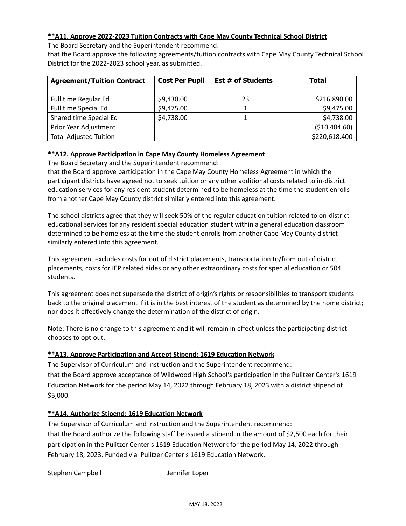# **\*\*A11. Approve 2022-2023 Tuition Contracts with Cape May County Technical School District**

The Board Secretary and the Superintendent recommend:

that the Board approve the following agreements/tuition contracts with Cape May County Technical School District for the 2022-2023 school year, as submitted.

| <b>Agreement/Tuition Contract</b> | <b>Cost Per Pupil</b> | <b>Est # of Students</b> | Total         |
|-----------------------------------|-----------------------|--------------------------|---------------|
|                                   |                       |                          |               |
| Full time Regular Ed              | \$9,430.00            | 23                       | \$216,890.00  |
| Full time Special Ed              | \$9,475.00            |                          | \$9,475.00    |
| Shared time Special Ed            | \$4,738.00            |                          | \$4,738.00    |
| Prior Year Adjustment             |                       |                          | (\$10,484.60) |
| <b>Total Adjusted Tuition</b>     |                       |                          | \$220,618.400 |

# **\*\*A12. Approve Participation in Cape May County Homeless Agreement**

The Board Secretary and the Superintendent recommend:

that the Board approve participation in the Cape May County Homeless Agreement in which the participant districts have agreed not to seek tuition or any other additional costs related to in-district education services for any resident student determined to be homeless at the time the student enrolls from another Cape May County district similarly entered into this agreement.

The school districts agree that they will seek 50% of the regular education tuition related to on-district educational services for any resident special education student within a general education classroom determined to be homeless at the time the student enrolls from another Cape May County district similarly entered into this agreement.

This agreement excludes costs for out of district placements, transportation to/from out of district placements, costs for IEP related aides or any other extraordinary costs for special education or 504 students.

This agreement does not supersede the district of origin's rights or responsibilities to transport students back to the original placement if it is in the best interest of the student as determined by the home district; nor does it effectively change the determination of the district of origin.

Note: There is no change to this agreement and it will remain in effect unless the participating district chooses to opt-out.

# **\*\*A13. Approve Participation and Accept Stipend: 1619 Education Network**

The Supervisor of Curriculum and Instruction and the Superintendent recommend: that the Board approve acceptance of Wildwood High School's participation in the Pulitzer Center's 1619 Education Network for the period May 14, 2022 through February 18, 2023 with a district stipend of \$5,000.

# **\*\*A14. Authorize Stipend: 1619 Education Network**

The Supervisor of Curriculum and Instruction and the Superintendent recommend: that the Board authorize the following staff be issued a stipend in the amount of \$2,500 each for their participation in the Pulitzer Center's 1619 Education Network for the period May 14, 2022 through February 18, 2023. Funded via Pulitzer Center's 1619 Education Network.

Stephen Campbell Jennifer Loper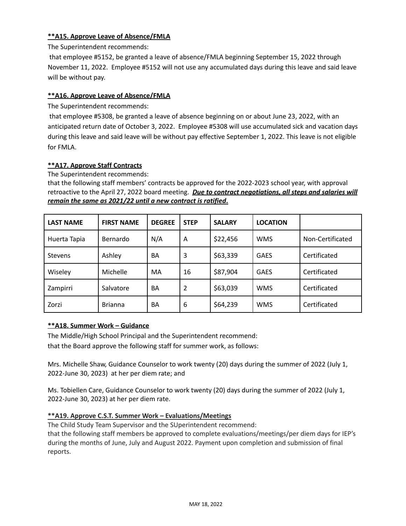# **\*\*A15. Approve Leave of Absence/FMLA**

The Superintendent recommends:

that employee #5152, be granted a leave of absence/FMLA beginning September 15, 2022 through November 11, 2022. Employee #5152 will not use any accumulated days during this leave and said leave will be without pay.

# **\*\*A16. Approve Leave of Absence/FMLA**

The Superintendent recommends:

that employee #5308, be granted a leave of absence beginning on or about June 23, 2022, with an anticipated return date of October 3, 2022. Employee #5308 will use accumulated sick and vacation days during this leave and said leave will be without pay effective September 1, 2022. This leave is not eligible for FMLA.

# **\*\*A17. Approve Staff Contracts**

The Superintendent recommends:

that the following staff members' contracts be approved for the 2022-2023 school year, with approval retroactive to the April 27, 2022 board meeting. *Due to contract negotiations, all steps and salaries will remain the same as 2021/22 until a new contract is ratified***.**

| <b>LAST NAME</b> | <b>FIRST NAME</b> | <b>DEGREE</b> | <b>STEP</b> | <b>SALARY</b> | <b>LOCATION</b> |                  |
|------------------|-------------------|---------------|-------------|---------------|-----------------|------------------|
| Huerta Tapia     | Bernardo          | N/A           | A           | \$22,456      | <b>WMS</b>      | Non-Certificated |
| <b>Stevens</b>   | Ashley            | <b>BA</b>     | 3           | \$63,339      | <b>GAES</b>     | Certificated     |
| Wiseley          | Michelle          | MA            | 16          | \$87,904      | <b>GAES</b>     | Certificated     |
| Zampirri         | Salvatore         | BA            | 2           | \$63,039      | <b>WMS</b>      | Certificated     |
| Zorzi            | <b>Brianna</b>    | BA            | 6           | \$64,239      | <b>WMS</b>      | Certificated     |

# **\*\*A18. Summer Work – Guidance**

The Middle/High School Principal and the Superintendent recommend:

that the Board approve the following staff for summer work, as follows:

Mrs. Michelle Shaw, Guidance Counselor to work twenty (20) days during the summer of 2022 (July 1, 2022-June 30, 2023) at her per diem rate; and

Ms. Tobiellen Care, Guidance Counselor to work twenty (20) days during the summer of 2022 (July 1, 2022-June 30, 2023) at her per diem rate.

# **\*\*A19. Approve C.S.T. Summer Work – Evaluations/Meetings**

The Child Study Team Supervisor and the SUperintendent recommend: that the following staff members be approved to complete evaluations/meetings/per diem days for IEP's during the months of June, July and August 2022. Payment upon completion and submission of final

reports.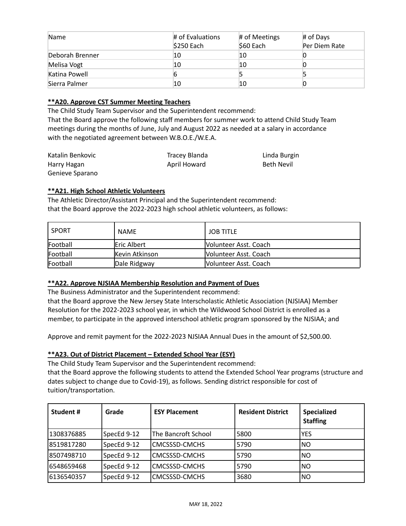| Name            | $\#$ of Evaluations<br>\$250 Each | # of Meetings<br>$$60$ Each | # of Days<br>Per Diem Rate |
|-----------------|-----------------------------------|-----------------------------|----------------------------|
| Deborah Brenner | 10                                | 10                          |                            |
| Melisa Vogt     | 10                                | 10                          |                            |
| Katina Powell   |                                   |                             |                            |
| Sierra Palmer   | 10                                | 10                          |                            |

# **\*\*A20. Approve CST Summer Meeting Teachers**

The Child Study Team Supervisor and the Superintendent recommend:

That the Board approve the following staff members for summer work to attend Child Study Team meetings during the months of June, July and August 2022 as needed at a salary in accordance with the negotiated agreement between W.B.O.E./W.E.A.

| Katalin Benkovic | Tracey Blanda | Linda Burgin |
|------------------|---------------|--------------|
| Harry Hagan      | April Howard  | Beth Nevil   |
| Genieve Sparano  |               |              |

# **\*\*A21. High School Athletic Volunteers**

The Athletic Director/Assistant Principal and the Superintendent recommend: that the Board approve the 2022-2023 high school athletic volunteers, as follows:

| l SPORT  | <b>NAME</b>            | <b>JOB TITLE</b>             |
|----------|------------------------|------------------------------|
| Football | <b>IEric Albert</b>    | IVolunteer Asst. Coach       |
| Football | <b>IKevin Atkinson</b> | IVolunteer Asst. Coach       |
| Football | Dale Ridgway           | <b>Nolunteer Asst. Coach</b> |

# **\*\*A22. Approve NJSIAA Membership Resolution and Payment of Dues**

The Business Administrator and the Superintendent recommend:

that the Board approve the New Jersey State Interscholastic Athletic Association (NJSIAA) Member Resolution for the 2022-2023 school year, in which the Wildwood School District is enrolled as a member, to participate in the approved interschool athletic program sponsored by the NJSIAA; and

Approve and remit payment for the 2022-2023 NJSIAA Annual Dues in the amount of \$2,500.00.

# **\*\*A23. Out of District Placement – Extended School Year (ESY)**

The Child Study Team Supervisor and the Superintendent recommend:

that the Board approve the following students to attend the Extended School Year programs (structure and dates subject to change due to Covid-19), as follows. Sending district responsible for cost of tuition/transportation.

| Student#    | Grade       | <b>ESY Placement</b> | <b>Resident District</b> | <b>Specialized</b><br><b>Staffing</b> |
|-------------|-------------|----------------------|--------------------------|---------------------------------------|
| 1308376885  | SpecEd 9-12 | The Bancroft School  | 5800                     | <b>YES</b>                            |
| 8519817280  | SpecEd 9-12 | CMCSSSD-CMCHS        | 5790                     | INO                                   |
| 8507498710  | SpecEd 9-12 | CMCSSSD-CMCHS        | 5790                     | INO                                   |
| 6548659468  | SpecEd 9-12 | lCMCSSSD-CMCHS       | 5790                     | N <sub>O</sub>                        |
| 16136540357 | SpecEd 9-12 | lCMCSSSD-CMCHS       | 3680                     | 'NO                                   |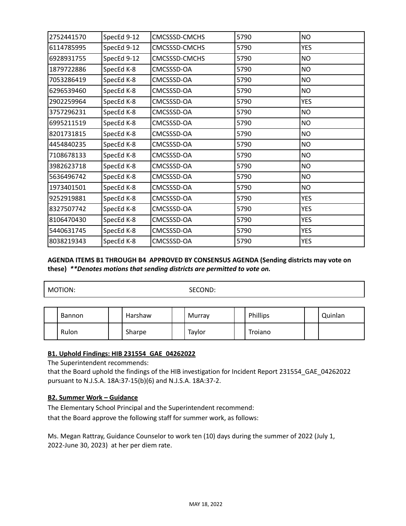| 2752441570 | SpecEd 9-12 | CMCSSSD-CMCHS | 5790 | <b>NO</b>  |
|------------|-------------|---------------|------|------------|
| 6114785995 | SpecEd 9-12 | CMCSSSD-CMCHS | 5790 | <b>YES</b> |
| 6928931755 | SpecEd 9-12 | CMCSSSD-CMCHS | 5790 | <b>NO</b>  |
| 1879722886 | SpecEd K-8  | CMCSSSD-OA    | 5790 | <b>NO</b>  |
| 7053286419 | SpecEd K-8  | CMCSSSD-OA    | 5790 | <b>NO</b>  |
| 6296539460 | SpecEd K-8  | CMCSSSD-OA    | 5790 | <b>NO</b>  |
| 2902259964 | SpecEd K-8  | CMCSSSD-OA    | 5790 | <b>YES</b> |
| 3757296231 | SpecEd K-8  | CMCSSSD-OA    | 5790 | <b>NO</b>  |
| 6995211519 | SpecEd K-8  | CMCSSSD-OA    | 5790 | <b>NO</b>  |
| 8201731815 | SpecEd K-8  | CMCSSSD-OA    | 5790 | <b>NO</b>  |
| 4454840235 | SpecEd K-8  | CMCSSSD-OA    | 5790 | <b>NO</b>  |
| 7108678133 | SpecEd K-8  | CMCSSSD-OA    | 5790 | <b>NO</b>  |
| 3982623718 | SpecEd K-8  | CMCSSSD-OA    | 5790 | <b>NO</b>  |
| 5636496742 | SpecEd K-8  | CMCSSSD-OA    | 5790 | <b>NO</b>  |
| 1973401501 | SpecEd K-8  | CMCSSSD-OA    | 5790 | <b>NO</b>  |
| 9252919881 | SpecEd K-8  | CMCSSSD-OA    | 5790 | <b>YES</b> |
| 8327507742 | SpecEd K-8  | CMCSSSD-OA    | 5790 | <b>YES</b> |
| 8106470430 | SpecEd K-8  | CMCSSSD-OA    | 5790 | <b>YES</b> |
| 5440631745 | SpecEd K-8  | CMCSSSD-OA    | 5790 | <b>YES</b> |
| 8038219343 | SpecEd K-8  | CMCSSSD-OA    | 5790 | <b>YES</b> |
|            |             |               |      |            |

# **AGENDA ITEMS B1 THROUGH B4 APPROVED BY CONSENSUS AGENDA (Sending districts may vote on these)** *\*\*Denotes motions that sending districts are permitted to vote on.*

MOTION: SECOND:

| <b>Bannon</b> | Harshaw | Murray | Phillips | Quinlan |
|---------------|---------|--------|----------|---------|
| Rulon         | Sharpe  | Taylor | Troiano  |         |

# **B1. Uphold Findings: HIB 231554\_GAE\_04262022**

The Superintendent recommends:

that the Board uphold the findings of the HIB investigation for Incident Report 231554\_GAE\_04262022 pursuant to N.J.S.A. 18A:37-15(b)(6) and N.J.S.A. 18A:37-2.

# **B2. Summer Work – Guidance**

The Elementary School Principal and the Superintendent recommend:

that the Board approve the following staff for summer work, as follows:

Ms. Megan Rattray, Guidance Counselor to work ten (10) days during the summer of 2022 (July 1, 2022-June 30, 2023) at her per diem rate.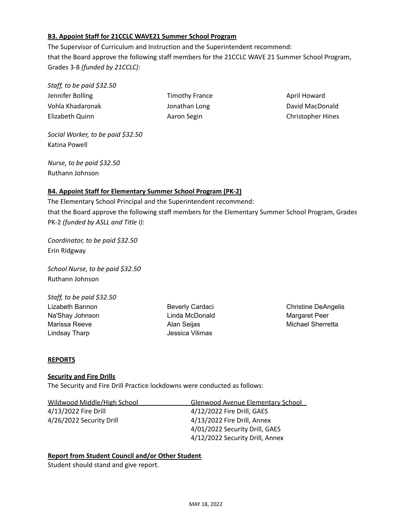# **B3. Appoint Staff for 21CCLC WAVE21 Summer School Program**

The Supervisor of Curriculum and Instruction and the Superintendent recommend: that the Board approve the following staff members for the 21CCLC WAVE 21 Summer School Program, Grades 3-8 *(funded by 21CCLC):*

*Staff, to be paid \$32.50* Jennifer Bolling Timothy France April Howard Vohla Khadaronak **MacDonald** Jonathan Long David MacDonald Elizabeth Quinn Aaron Segin Christopher Hines

*Social Worker, to be paid \$32.50* Katina Powell

*Nurse, to be paid \$32.50* Ruthann Johnson

# **B4. Appoint Staff for Elementary Summer School Program (PK-2)**

The Elementary School Principal and the Superintendent recommend: that the Board approve the following staff members for the Elementary Summer School Program, Grades PK-2 *(funded by ASLL and Title I)*:

*Coordinator, to be paid \$32.50* Erin Ridgway

*School Nurse, to be paid \$32.50* Ruthann Johnson

*Staff, to be paid \$32.50* Lizabeth Bannon Beverly Cardaci Christine DeAngelis Na'Shay Johnson Linda McDonald Margaret Peer Marissa Reeve **Alan Seijas** Michael Sherretta Michael Sherretta Lindsay Tharp **Jessica Vilimas** 

# **REPORTS**

# **Security and Fire Drills**

The Security and Fire Drill Practice lockdowns were conducted as follows:

| Wildwood Middle/High School | <b>Glenwood Avenue Elementary School</b> |
|-----------------------------|------------------------------------------|
| 4/13/2022 Fire Drill        | 4/12/2022 Fire Drill, GAES               |
| 4/26/2022 Security Drill    | 4/13/2022 Fire Drill, Annex              |
|                             | 4/01/2022 Security Drill, GAES           |
|                             | 4/12/2022 Security Drill, Annex          |

**Report from Student Council and/or Other Student**

Student should stand and give report.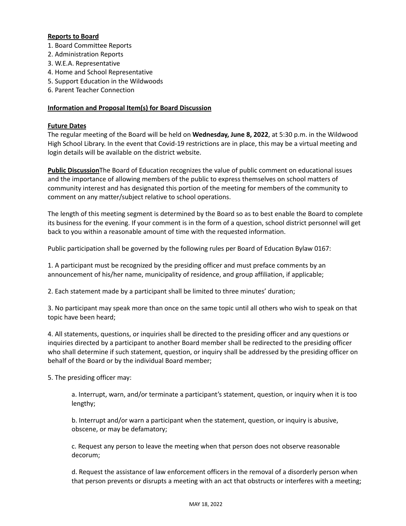# **Reports to Board**

- 1. Board Committee Reports
- 2. Administration Reports
- 3. W.E.A. Representative
- 4. Home and School Representative
- 5. Support Education in the Wildwoods
- 6. Parent Teacher Connection

# **Information and Proposal Item(s) for Board Discussion**

# **Future Dates**

The regular meeting of the Board will be held on **Wednesday, June 8, 2022**, at 5:30 p.m. in the Wildwood High School Library. In the event that Covid-19 restrictions are in place, this may be a virtual meeting and login details will be available on the district website.

**Public Discussion**The Board of Education recognizes the value of public comment on educational issues and the importance of allowing members of the public to express themselves on school matters of community interest and has designated this portion of the meeting for members of the community to comment on any matter/subject relative to school operations.

The length of this meeting segment is determined by the Board so as to best enable the Board to complete its business for the evening. If your comment is in the form of a question, school district personnel will get back to you within a reasonable amount of time with the requested information.

Public participation shall be governed by the following rules per Board of Education Bylaw 0167:

1. A participant must be recognized by the presiding officer and must preface comments by an announcement of his/her name, municipality of residence, and group affiliation, if applicable;

2. Each statement made by a participant shall be limited to three minutes' duration;

3. No participant may speak more than once on the same topic until all others who wish to speak on that topic have been heard;

4. All statements, questions, or inquiries shall be directed to the presiding officer and any questions or inquiries directed by a participant to another Board member shall be redirected to the presiding officer who shall determine if such statement, question, or inquiry shall be addressed by the presiding officer on behalf of the Board or by the individual Board member;

5. The presiding officer may:

a. Interrupt, warn, and/or terminate a participant's statement, question, or inquiry when it is too lengthy;

b. Interrupt and/or warn a participant when the statement, question, or inquiry is abusive, obscene, or may be defamatory;

c. Request any person to leave the meeting when that person does not observe reasonable decorum;

d. Request the assistance of law enforcement officers in the removal of a disorderly person when that person prevents or disrupts a meeting with an act that obstructs or interferes with a meeting;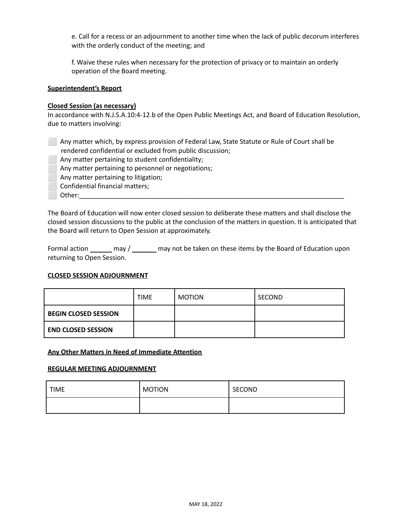e. Call for a recess or an adjournment to another time when the lack of public decorum interferes with the orderly conduct of the meeting; and

f. Waive these rules when necessary for the protection of privacy or to maintain an orderly operation of the Board meeting.

# **Superintendent's Report**

#### **Closed Session (as necessary)**

In accordance with N.J.S.A.10:4-12.b of the Open Public Meetings Act, and Board of Education Resolution, due to matters involving:

⬜ Any matter which, by express provision of Federal Law, State Statute or Rule of Court shall be rendered confidential or excluded from public discussion;

- Any matter pertaining to student confidentiality;
- Any matter pertaining to personnel or negotiations;
- Any matter pertaining to litigation;
- ⬜ Confidential financial matters;
- Other:

The Board of Education will now enter closed session to deliberate these matters and shall disclose the closed session discussions to the public at the conclusion of the matters in question. It is anticipated that the Board will return to Open Session at approximately.

Formal action \_\_\_\_\_\_ may / \_\_\_\_\_\_ may not be taken on these items by the Board of Education upon returning to Open Session.

# **CLOSED SESSION ADJOURNMENT**

|                             | <b>TIME</b> | <b>MOTION</b> | SECOND |
|-----------------------------|-------------|---------------|--------|
| <b>BEGIN CLOSED SESSION</b> |             |               |        |
| <b>END CLOSED SESSION</b>   |             |               |        |

#### **Any Other Matters in Need of Immediate Attention**

#### **REGULAR MEETING ADJOURNMENT**

| <b>TIME</b> | <b>MOTION</b> | SECOND |  |
|-------------|---------------|--------|--|
|             |               |        |  |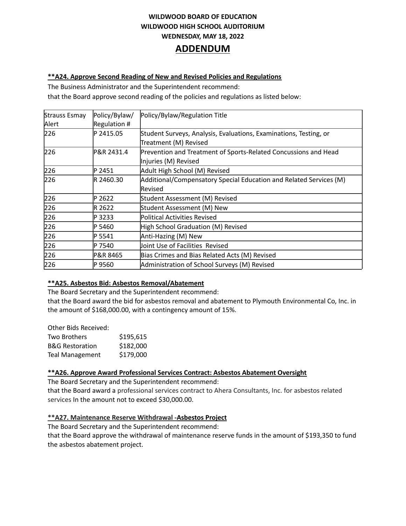# **WILDWOOD BOARD OF EDUCATION WILDWOOD HIGH SCHOOL AUDITORIUM WEDNESDAY, MAY 18, 2022 ADDENDUM**

#### **\*\*A24. Approve Second Reading of New and Revised Policies and Regulations**

The Business Administrator and the Superintendent recommend:

that the Board approve second reading of the policies and regulations as listed below:

| Strauss Esmay | Policy/Bylaw/ | Policy/Bylaw/Regulation Title                                      |  |  |
|---------------|---------------|--------------------------------------------------------------------|--|--|
| Alert         | Regulation #  |                                                                    |  |  |
| 226           | P 2415.05     | Student Surveys, Analysis, Evaluations, Examinations, Testing, or  |  |  |
|               |               | Treatment (M) Revised                                              |  |  |
| 226           | P&R 2431.4    | Prevention and Treatment of Sports-Related Concussions and Head    |  |  |
|               |               | Injuries (M) Revised                                               |  |  |
| 226           | P 2451        | Adult High School (M) Revised                                      |  |  |
| 226           | R 2460.30     | Additional/Compensatory Special Education and Related Services (M) |  |  |
|               |               | Revised                                                            |  |  |
| 226           | P 2622        | Student Assessment (M) Revised                                     |  |  |
| 226           | R 2622        | Student Assessment (M) New                                         |  |  |
| 226           | P 3233        | Political Activities Revised                                       |  |  |
| 226           | P 5460        | High School Graduation (M) Revised                                 |  |  |
| 226           | P 5541        | Anti-Hazing (M) New                                                |  |  |
| 226           | P 7540        | Joint Use of Facilities Revised                                    |  |  |
| 226           | P&R 8465      | Bias Crimes and Bias Related Acts (M) Revised                      |  |  |
| 226           | P 9560        | Administration of School Surveys (M) Revised                       |  |  |

# **\*\*A25. Asbestos Bid: Asbestos Removal/Abatement**

The Board Secretary and the Superintendent recommend:

that the Board award the bid for asbestos removal and abatement to Plymouth Environmental Co, Inc. in the amount of \$168,000.00, with a contingency amount of 15%.

| Other Bids Received:       |           |
|----------------------------|-----------|
| Two Brothers               | \$195,615 |
| <b>B&amp;G Restoration</b> | \$182,000 |
| <b>Teal Management</b>     | \$179,000 |
|                            |           |

# **\*\*A26. Approve Award Professional Services Contract: Asbestos Abatement Oversight**

The Board Secretary and the Superintendent recommend: that the Board award a professional services contract to Ahera Consultants, Inc. for asbestos related services In the amount not to exceed \$30,000.00.

# **\*\*A27. Maintenance Reserve Withdrawal -Asbestos Project**

The Board Secretary and the Superintendent recommend: that the Board approve the withdrawal of maintenance reserve funds in the amount of \$193,350 to fund the asbestos abatement project.